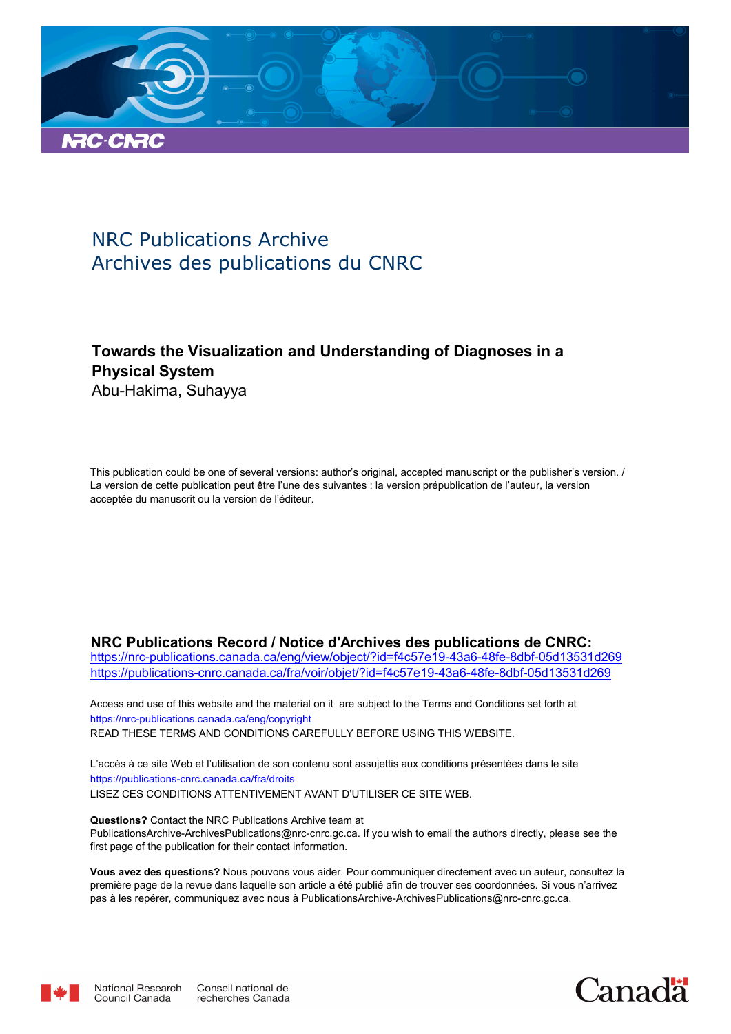

# NRC Publications Archive Archives des publications du CNRC

# **Towards the Visualization and Understanding of Diagnoses in a Physical System** Abu-Hakima, Suhayya

This publication could be one of several versions: author's original, accepted manuscript or the publisher's version. / La version de cette publication peut être l'une des suivantes : la version prépublication de l'auteur, la version acceptée du manuscrit ou la version de l'éditeur.

# **NRC Publications Record / Notice d'Archives des publications de CNRC:**

https://nrc-publications.canada.ca/eng/view/object/?id=f4c57e19-43a6-48fe-8dbf-05d13531d269 https://publications-cnrc.canada.ca/fra/voir/objet/?id=f4c57e19-43a6-48fe-8dbf-05d13531d269

READ THESE TERMS AND CONDITIONS CAREFULLY BEFORE USING THIS WEBSITE. https://nrc-publications.canada.ca/eng/copyright Access and use of this website and the material on it are subject to the Terms and Conditions set forth at

https://publications-cnrc.canada.ca/fra/droits L'accès à ce site Web et l'utilisation de son contenu sont assujettis aux conditions présentées dans le site LISEZ CES CONDITIONS ATTENTIVEMENT AVANT D'UTILISER CE SITE WEB.

**Questions?** Contact the NRC Publications Archive team at PublicationsArchive-ArchivesPublications@nrc-cnrc.gc.ca. If you wish to email the authors directly, please see the first page of the publication for their contact information.

**Vous avez des questions?** Nous pouvons vous aider. Pour communiquer directement avec un auteur, consultez la première page de la revue dans laquelle son article a été publié afin de trouver ses coordonnées. Si vous n'arrivez pas à les repérer, communiquez avec nous à PublicationsArchive-ArchivesPublications@nrc-cnrc.gc.ca.



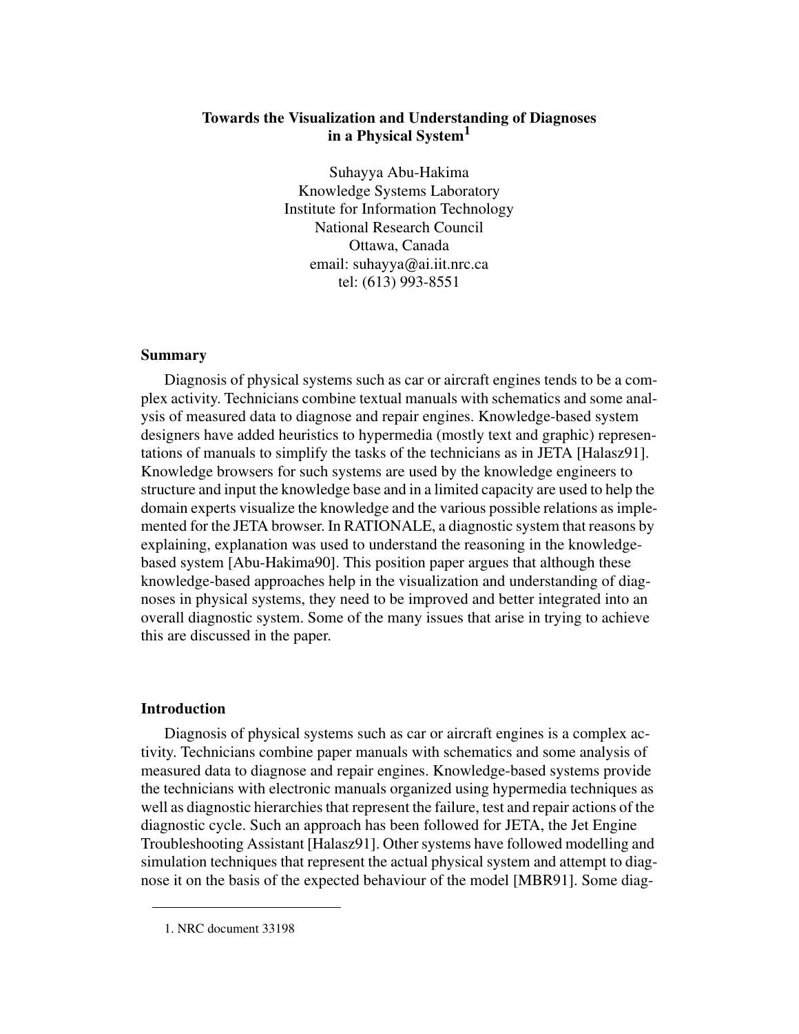# **Towards the Visualization and Understanding of Diagnoses in a Physical System<sup>1</sup>**

Suhayya Abu-Hakima Knowledge Systems Laboratory Institute for Information Technology National Research Council Ottawa, Canada email: suhayya@ai.iit.nrc.ca tel: (613) 993-8551

#### **Summary**

Diagnosis of physical systems such as car or aircraft engines tends to be a complex activity. Technicians combine textual manuals with schematics and some analysis of measured data to diagnose and repair engines. Knowledge-based system designers have added heuristics to hypermedia (mostly text and graphic) representations of manuals to simplify the tasks of the technicians as in JETA [Halasz91]. Knowledge browsers for such systems are used by the knowledge engineers to structure and input the knowledge base and in a limited capacity are used to help the domain experts visualize the knowledge and the various possible relations as implemented for the JETA browser. In RATIONALE, a diagnostic system that reasons by explaining, explanation was used to understand the reasoning in the knowledgebased system [Abu-Hakima90]. This position paper argues that although these knowledge-based approaches help in the visualization and understanding of diagnoses in physical systems, they need to be improved and better integrated into an overall diagnostic system. Some of the many issues that arise in trying to achieve this are discussed in the paper.

#### **Introduction**

Diagnosis of physical systems such as car or aircraft engines is a complex activity. Technicians combine paper manuals with schematics and some analysis of measured data to diagnose and repair engines. Knowledge-based systems provide the technicians with electronic manuals organized using hypermedia techniques as well as diagnostic hierarchies that represent the failure, test and repair actions of the diagnostic cycle. Such an approach has been followed for JETA, the Jet Engine Troubleshooting Assistant [Halasz91]. Other systems have followed modelling and simulation techniques that represent the actual physical system and attempt to diagnose it on the basis of the expected behaviour of the model [MBR91]. Some diag-

<sup>1.</sup> NRC document 33198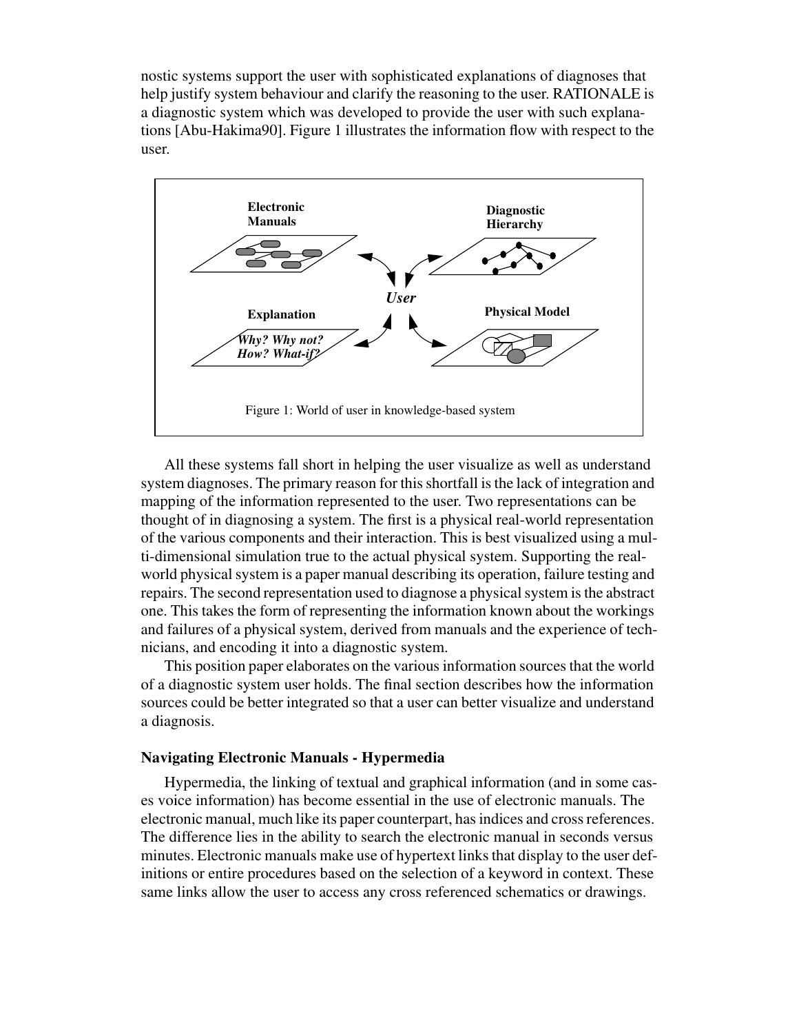nostic systems support the user with sophisticated explanations of diagnoses that help justify system behaviour and clarify the reasoning to the user. RATIONALE is a diagnostic system which was developed to provide the user with such explanations [Abu-Hakima90]. Figure 1 illustrates the information flow with respect to the user.



All these systems fall short in helping the user visualize as well as understand system diagnoses. The primary reason for this shortfall is the lack of integration and mapping of the information represented to the user. Two representations can be thought of in diagnosing a system. The first is a physical real-world representation of the various components and their interaction. This is best visualized using a multi-dimensional simulation true to the actual physical system. Supporting the realworld physical system is a paper manual describing its operation, failure testing and repairs. The second representation used to diagnose a physical system is the abstract one. This takes the form of representing the information known about the workings and failures of a physical system, derived from manuals and the experience of technicians, and encoding it into a diagnostic system.

This position paper elaborates on the various information sources that the world of a diagnostic system user holds. The final section describes how the information sources could be better integrated so that a user can better visualize and understand a diagnosis.

#### **Navigating Electronic Manuals - Hypermedia**

Hypermedia, the linking of textual and graphical information (and in some cases voice information) has become essential in the use of electronic manuals. The electronic manual, much like its paper counterpart, has indices and cross references. The difference lies in the ability to search the electronic manual in seconds versus minutes. Electronic manuals make use of hypertext links that display to the user definitions or entire procedures based on the selection of a keyword in context. These same links allow the user to access any cross referenced schematics or drawings.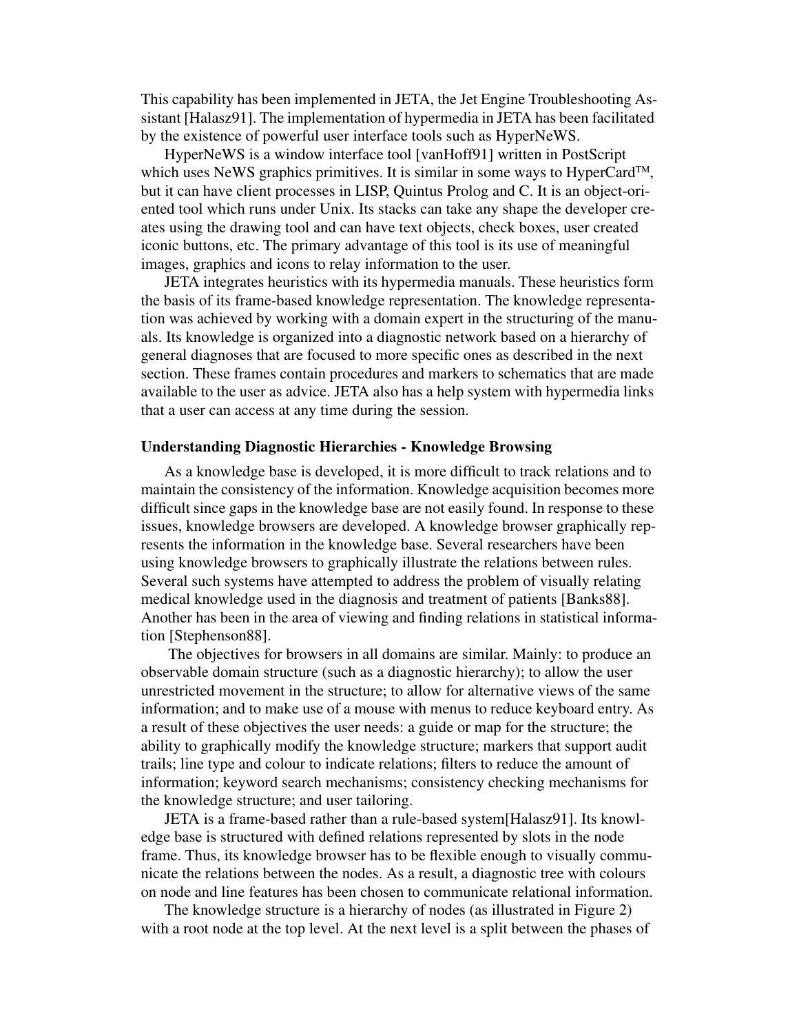This capability has been implemented in JETA, the Jet Engine Troubleshooting Assistant [Halasz91]. The implementation of hypermedia in JETA has been facilitated by the existence of powerful user interface tools such as HyperNeWS.

HyperNeWS is a window interface tool [vanHoff91] written in PostScript which uses NeWS graphics primitives. It is similar in some ways to HyperCard<sup>TM</sup>, but it can have client processes in LISP, Quintus Prolog and C. It is an object-oriented tool which runs under Unix. Its stacks can take any shape the developer creates using the drawing tool and can have text objects, check boxes, user created iconic buttons, etc. The primary advantage of this tool is its use of meaningful images, graphics and icons to relay information to the user.

JETA integrates heuristics with its hypermedia manuals. These heuristics form the basis of its frame-based knowledge representation. The knowledge representation was achieved by working with a domain expert in the structuring of the manuals. Its knowledge is organized into a diagnostic network based on a hierarchy of general diagnoses that are focused to more specific ones as described in the next section. These frames contain procedures and markers to schematics that are made available to the user as advice. JETA also has a help system with hypermedia links that a user can access at any time during the session.

#### **Understanding Diagnostic Hierarchies - Knowledge Browsing**

As a knowledge base is developed, it is more difficult to track relations and to maintain the consistency of the information. Knowledge acquisition becomes more difficult since gaps in the knowledge base are not easily found. In response to these issues, knowledge browsers are developed. A knowledge browser graphically represents the information in the knowledge base. Several researchers have been using knowledge browsers to graphically illustrate the relations between rules. Several such systems have attempted to address the problem of visually relating medical knowledge used in the diagnosis and treatment of patients [Banks88]. Another has been in the area of viewing and finding relations in statistical information [Stephenson88].

 The objectives for browsers in all domains are similar. Mainly: to produce an observable domain structure (such as a diagnostic hierarchy); to allow the user unrestricted movement in the structure; to allow for alternative views of the same information; and to make use of a mouse with menus to reduce keyboard entry. As a result of these objectives the user needs: a guide or map for the structure; the ability to graphically modify the knowledge structure; markers that support audit trails; line type and colour to indicate relations; filters to reduce the amount of information; keyword search mechanisms; consistency checking mechanisms for the knowledge structure; and user tailoring.

JETA is a frame-based rather than a rule-based system[Halasz91]. Its knowledge base is structured with defined relations represented by slots in the node frame. Thus, its knowledge browser has to be flexible enough to visually communicate the relations between the nodes. As a result, a diagnostic tree with colours on node and line features has been chosen to communicate relational information.

The knowledge structure is a hierarchy of nodes (as illustrated in Figure 2) with a root node at the top level. At the next level is a split between the phases of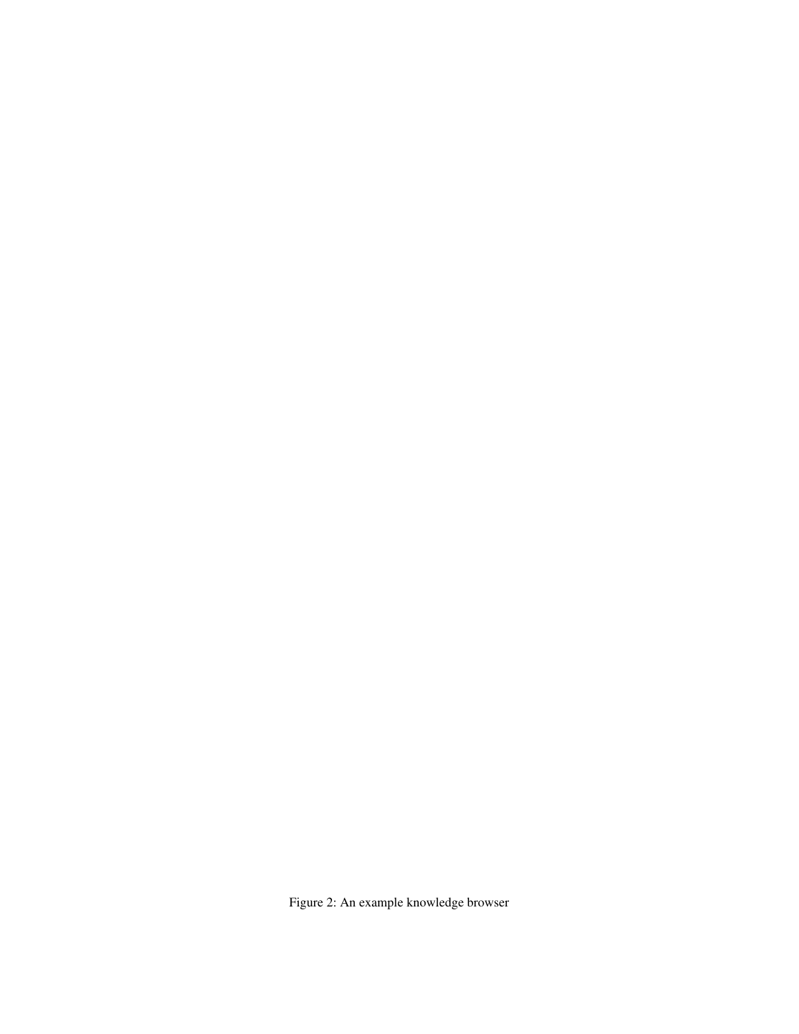Figure 2: An example knowledge browser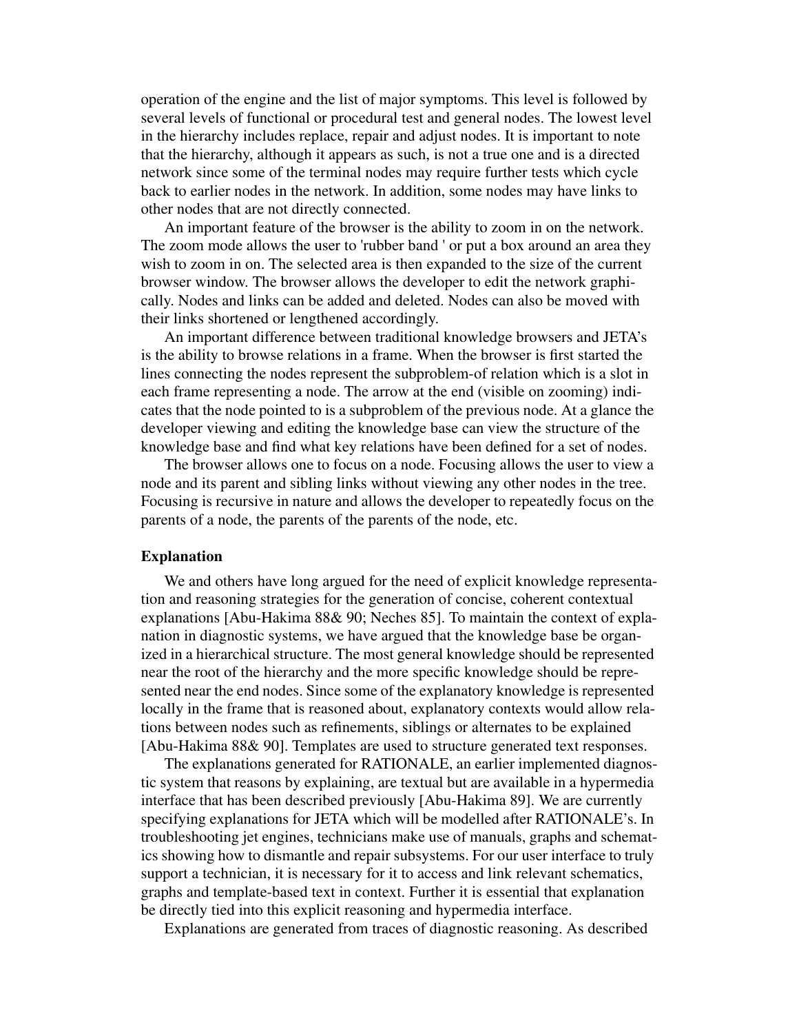operation of the engine and the list of major symptoms. This level is followed by several levels of functional or procedural test and general nodes. The lowest level in the hierarchy includes replace, repair and adjust nodes. It is important to note that the hierarchy, although it appears as such, is not a true one and is a directed network since some of the terminal nodes may require further tests which cycle back to earlier nodes in the network. In addition, some nodes may have links to other nodes that are not directly connected.

An important feature of the browser is the ability to zoom in on the network. The zoom mode allows the user to 'rubber band ' or put a box around an area they wish to zoom in on. The selected area is then expanded to the size of the current browser window. The browser allows the developer to edit the network graphically. Nodes and links can be added and deleted. Nodes can also be moved with their links shortened or lengthened accordingly.

An important difference between traditional knowledge browsers and JETA's is the ability to browse relations in a frame. When the browser is first started the lines connecting the nodes represent the subproblem-of relation which is a slot in each frame representing a node. The arrow at the end (visible on zooming) indicates that the node pointed to is a subproblem of the previous node. At a glance the developer viewing and editing the knowledge base can view the structure of the knowledge base and find what key relations have been defined for a set of nodes.

The browser allows one to focus on a node. Focusing allows the user to view a node and its parent and sibling links without viewing any other nodes in the tree. Focusing is recursive in nature and allows the developer to repeatedly focus on the parents of a node, the parents of the parents of the node, etc.

# **Explanation**

We and others have long argued for the need of explicit knowledge representation and reasoning strategies for the generation of concise, coherent contextual explanations [Abu-Hakima 88& 90; Neches 85]. To maintain the context of explanation in diagnostic systems, we have argued that the knowledge base be organized in a hierarchical structure. The most general knowledge should be represented near the root of the hierarchy and the more specific knowledge should be represented near the end nodes. Since some of the explanatory knowledge is represented locally in the frame that is reasoned about, explanatory contexts would allow relations between nodes such as refinements, siblings or alternates to be explained [Abu-Hakima 88& 90]. Templates are used to structure generated text responses.

The explanations generated for RATIONALE, an earlier implemented diagnostic system that reasons by explaining, are textual but are available in a hypermedia interface that has been described previously [Abu-Hakima 89]. We are currently specifying explanations for JETA which will be modelled after RATIONALE's. In troubleshooting jet engines, technicians make use of manuals, graphs and schematics showing how to dismantle and repair subsystems. For our user interface to truly support a technician, it is necessary for it to access and link relevant schematics, graphs and template-based text in context. Further it is essential that explanation be directly tied into this explicit reasoning and hypermedia interface.

Explanations are generated from traces of diagnostic reasoning. As described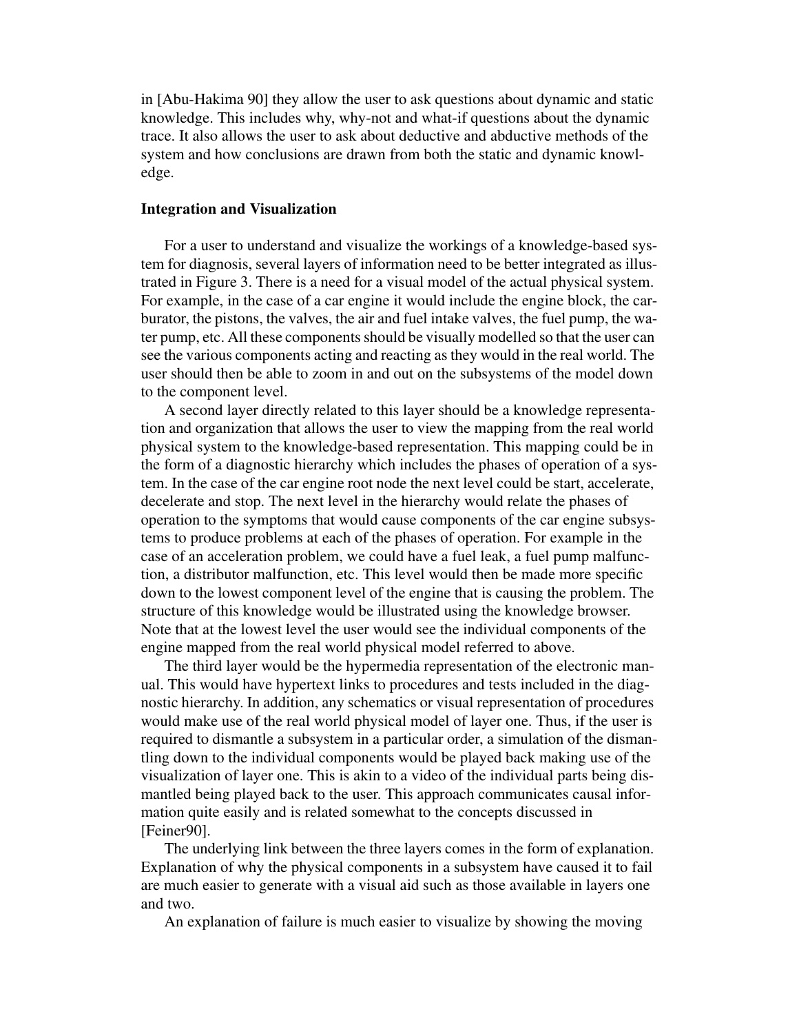in [Abu-Hakima 90] they allow the user to ask questions about dynamic and static knowledge. This includes why, why-not and what-if questions about the dynamic trace. It also allows the user to ask about deductive and abductive methods of the system and how conclusions are drawn from both the static and dynamic knowledge.

### **Integration and Visualization**

For a user to understand and visualize the workings of a knowledge-based system for diagnosis, several layers of information need to be better integrated as illustrated in Figure 3. There is a need for a visual model of the actual physical system. For example, in the case of a car engine it would include the engine block, the carburator, the pistons, the valves, the air and fuel intake valves, the fuel pump, the water pump, etc. All these components should be visually modelled so that the user can see the various components acting and reacting as they would in the real world. The user should then be able to zoom in and out on the subsystems of the model down to the component level.

A second layer directly related to this layer should be a knowledge representation and organization that allows the user to view the mapping from the real world physical system to the knowledge-based representation. This mapping could be in the form of a diagnostic hierarchy which includes the phases of operation of a system. In the case of the car engine root node the next level could be start, accelerate, decelerate and stop. The next level in the hierarchy would relate the phases of operation to the symptoms that would cause components of the car engine subsystems to produce problems at each of the phases of operation. For example in the case of an acceleration problem, we could have a fuel leak, a fuel pump malfunction, a distributor malfunction, etc. This level would then be made more specific down to the lowest component level of the engine that is causing the problem. The structure of this knowledge would be illustrated using the knowledge browser. Note that at the lowest level the user would see the individual components of the engine mapped from the real world physical model referred to above.

The third layer would be the hypermedia representation of the electronic manual. This would have hypertext links to procedures and tests included in the diagnostic hierarchy. In addition, any schematics or visual representation of procedures would make use of the real world physical model of layer one. Thus, if the user is required to dismantle a subsystem in a particular order, a simulation of the dismantling down to the individual components would be played back making use of the visualization of layer one. This is akin to a video of the individual parts being dismantled being played back to the user. This approach communicates causal information quite easily and is related somewhat to the concepts discussed in [Feiner90].

The underlying link between the three layers comes in the form of explanation. Explanation of why the physical components in a subsystem have caused it to fail are much easier to generate with a visual aid such as those available in layers one and two.

An explanation of failure is much easier to visualize by showing the moving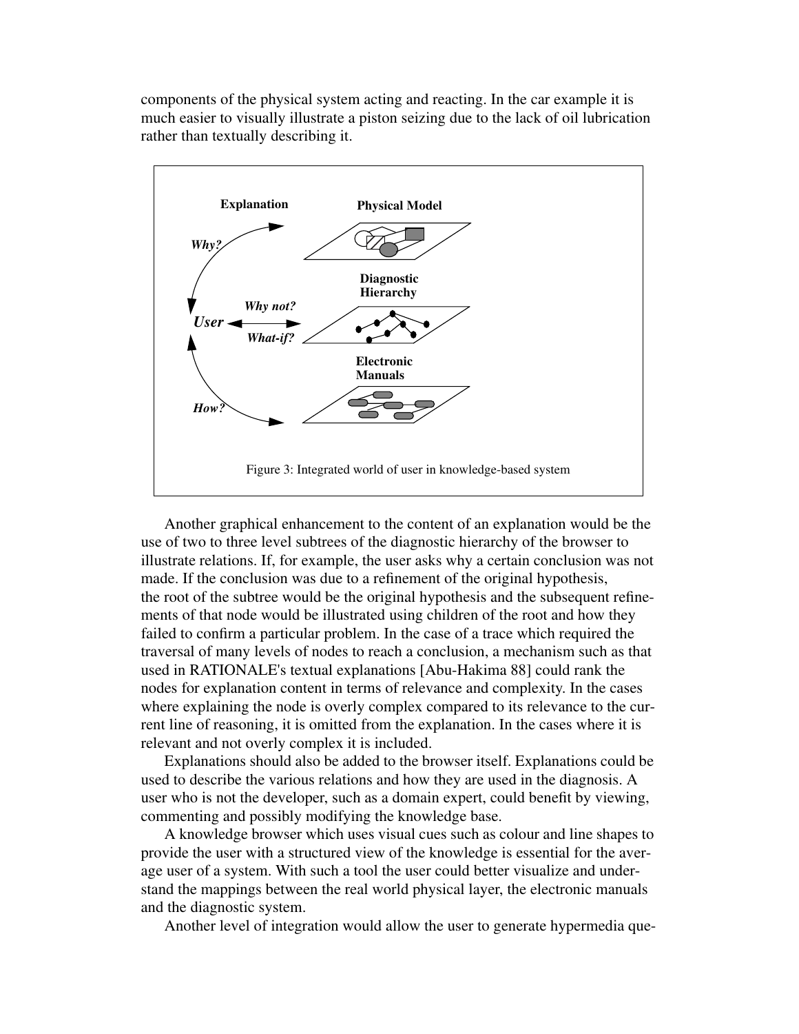components of the physical system acting and reacting. In the car example it is much easier to visually illustrate a piston seizing due to the lack of oil lubrication rather than textually describing it.



Another graphical enhancement to the content of an explanation would be the use of two to three level subtrees of the diagnostic hierarchy of the browser to illustrate relations. If, for example, the user asks why a certain conclusion was not made. If the conclusion was due to a refinement of the original hypothesis, the root of the subtree would be the original hypothesis and the subsequent refinements of that node would be illustrated using children of the root and how they failed to confirm a particular problem. In the case of a trace which required the traversal of many levels of nodes to reach a conclusion, a mechanism such as that used in RATIONALE's textual explanations [Abu-Hakima 88] could rank the nodes for explanation content in terms of relevance and complexity. In the cases where explaining the node is overly complex compared to its relevance to the current line of reasoning, it is omitted from the explanation. In the cases where it is relevant and not overly complex it is included.

Explanations should also be added to the browser itself. Explanations could be used to describe the various relations and how they are used in the diagnosis. A user who is not the developer, such as a domain expert, could benefit by viewing, commenting and possibly modifying the knowledge base.

A knowledge browser which uses visual cues such as colour and line shapes to provide the user with a structured view of the knowledge is essential for the average user of a system. With such a tool the user could better visualize and understand the mappings between the real world physical layer, the electronic manuals and the diagnostic system.

Another level of integration would allow the user to generate hypermedia que-